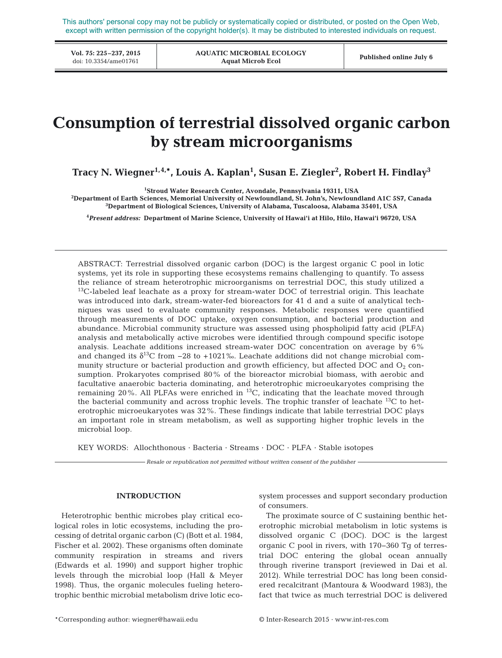This authors' personal copy may not be publicly or systematically copied or distributed, or posted on the Open Web, except with written permission of the copyright holder(s). It may be distributed to interested individuals on request.

**Vol. 75: 225–237, 2015**<br>doi: 10.3354/ame01761

**AQUATIC MICROBIAL ECOLOGY Aquat Microb Ecol** doi: 10.3354/ame01761 **Published online July 6**

# **Consumption of terrestrial dissolved organic carbon by stream microorganisms**

**Tracy N. Wiegner1,4,\*, Louis A. Kaplan1 , Susan E. Ziegler2 , Robert H. Findlay3**

<sup>1</sup>Stroud Water Research Center, Avondale, Pennsylvania 19311, USA

**Stroud Water Research Center, Avondale, Pennsylvania 19311, USA 2 Department of Earth Sciences, Memorial University of Newfoundland, St. John's, Newfoundland A1C 5S7, Canada 3 Department of Biological Sciences, University of Alabama, Tuscaloosa, Alabama 35401, USA**

**4** *Present address:* **Department of Marine Science, University of Hawai'i at Hilo, Hilo, Hawai'i 96720, USA**

ABSTRACT: Terrestrial dissolved organic carbon (DOC) is the largest organic C pool in lotic systems, yet its role in supporting these ecosystems remains challenging to quantify. To assess the reliance of stream heterotrophic microorganisms on terrestrial DOC, this study utilized a  $13C$ -labeled leaf leachate as a proxy for stream-water DOC of terrestrial origin. This leachate was introduced into dark, stream-water-fed bioreactors for 41 d and a suite of analytical techniques was used to evaluate community responses. Metabolic responses were quantified through measurements of DOC uptake, oxygen consumption, and bacterial production and abundance. Microbial community structure was assessed using phospholipid fatty acid (PLFA) analysis and metabolically active microbes were identified through compound specific isotope analysis. Leachate additions increased stream-water DOC concentration on average by 6% and changed its  $\delta^{13}C$  from −28 to +1021‰. Leachate additions did not change microbial community structure or bacterial production and growth efficiency, but affected DOC and  $O_2$  consumption. Prokaryotes comprised 80% of the bioreactor microbial biomass, with aerobic and facultative anaerobic bacteria dominating, and heterotrophic microeukaryotes comprising the remaining 20%. All PLFAs were enriched in <sup>13</sup>C, indicating that the leachate moved through the bacterial community and across trophic levels. The trophic transfer of leachate  $^{13}C$  to heterotrophic microeukaryotes was 32%. These findings indicate that labile terrestrial DOC plays an important role in stream metabolism, as well as supporting higher trophic levels in the microbial loop.

KEY WORDS: Allochthonous · Bacteria · Streams · DOC · PLFA · Stable isotopes

*Resale or republication not permitted without written consent of the publisher*

#### **INTRODUCTION**

Heterotrophic benthic microbes play critical ecological roles in lotic ecosystems, including the processing of detrital organic carbon (C) (Bott et al. 1984, Fischer et al. 2002). These organisms often dominate community respiration in streams and rivers (Edwards et al. 1990) and support higher trophic levels through the microbial loop (Hall & Meyer 1998). Thus, the organic molecules fueling heterotrophic benthic microbial metabolism drive lotic eco-

system processes and support secondary production of consumers.

The proximate source of C sustaining benthic heterotrophic microbial metabolism in lotic systems is dissolved organic C (DOC). DOC is the largest organic C pool in rivers, with 170−360 Tg of terrestrial DOC entering the global ocean annually through riverine transport (reviewed in Dai et al. 2012). While terrestrial DOC has long been considered recalcitrant (Mantoura & Woodward 1983), the fact that twice as much terrestrial DOC is delivered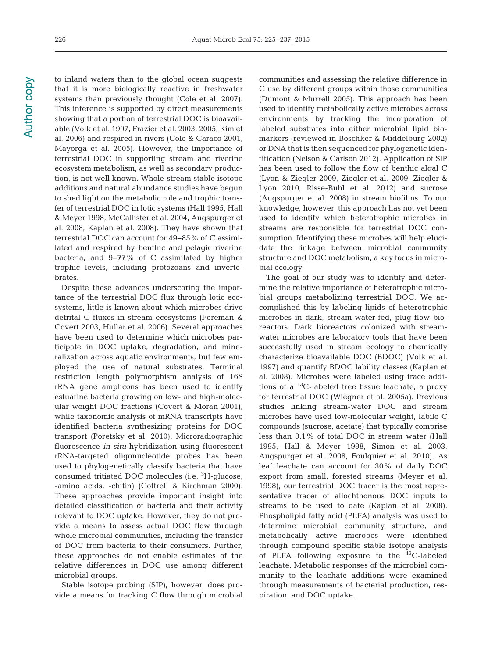to inland waters than to the global ocean suggests that it is more biologically reactive in freshwater systems than previously thought (Cole et al. 2007). This inference is supported by direct measurements showing that a portion of terrestrial DOC is bioavailable (Volk et al. 1997, Frazier et al. 2003, 2005, Kim et al. 2006) and respired in rivers (Cole & Caraco 2001, Mayorga et al. 2005). However, the importance of terrestrial DOC in supporting stream and riverine ecosystem metabolism, as well as secondary production, is not well known. Whole-stream stable isotope additions and natural abundance studies have begun to shed light on the metabolic role and trophic transfer of terrestrial DOC in lotic systems (Hall 1995, Hall & Meyer 1998, McCallister et al. 2004, Augspurger et al. 2008, Kaplan et al. 2008). They have shown that terrestrial DOC can account for 49−85% of C assimilated and respired by benthic and pelagic riverine bacteria, and 9−77% of C assimilated by higher trophic levels, including protozoans and invertebrates.

Despite these advances underscoring the importance of the terrestrial DOC flux through lotic ecosystems, little is known about which microbes drive detrital C fluxes in stream ecosystems (Foreman & Covert 2003, Hullar et al. 2006). Several approaches have been used to determine which microbes participate in DOC uptake, degradation, and mine ralization across aquatic environments, but few employed the use of natural substrates. Terminal restriction length polymorphism analysis of 16S rRNA gene amplicons has been used to identify estuarine bacteria growing on low- and high-molecular weight DOC fractions (Covert & Moran 2001), while taxonomic analysis of mRNA transcripts have identified bacteria synthesizing proteins for DOC transport (Poretsky et al. 2010). Microradiographic fluorescence *in situ* hybridization using fluorescent rRNA-targeted oligonucleotide probes has been used to phylogenetically classify bacteria that have consumed tritiated DOC molecules (i.e. <sup>3</sup>H-glucose, -amino acids, -chitin) (Cottrell & Kirchman 2000). These approaches provide important insight into detailed classification of bacteria and their activity relevant to DOC uptake. However, they do not provide a means to assess actual DOC flow through whole microbial communities, including the transfer of DOC from bacteria to their consumers. Further, these approaches do not enable estimates of the relative differences in DOC use among different microbial groups.

Stable isotope probing (SIP), however, does provide a means for tracking C flow through microbial communities and assessing the relative difference in C use by different groups within those communities (Dumont & Murrell 2005). This approach has been used to identify metabolically active microbes across environments by tracking the incorporation of labeled substrates into either microbial lipid biomarkers (reviewed in Boschker & Middelburg 2002) or DNA that is then sequenced for phylogenetic identification (Nelson & Carlson 2012). Application of SIP has been used to follow the flow of benthic algal C (Lyon & Ziegler 2009, Ziegler et al. 2009, Ziegler & Lyon 2010, Risse-Buhl et al. 2012) and sucrose (Augspurger et al. 2008) in stream biofilms. To our knowledge, however, this approach has not yet been used to identify which heterotrophic microbes in streams are responsible for terrestrial DOC consumption. Identifying these microbes will help elucidate the linkage between microbial community structure and DOC metabolism, a key focus in microbial ecology.

The goal of our study was to identify and determine the relative importance of heterotrophic microbial groups metabolizing terrestrial DOC. We accomplished this by labeling lipids of heterotrophic microbes in dark, stream-water-fed, plug-flow bioreactors. Dark bioreactors colonized with streamwater microbes are laboratory tools that have been successfully used in stream ecology to chemically characterize bioavailable DOC (BDOC) (Volk et al. 1997) and quantify BDOC lability classes (Kaplan et al. 2008). Microbes were labeled using trace additions of a 13C-labeled tree tissue leachate, a proxy for terrestrial DOC (Wiegner et al. 2005a). Previous studies linking stream-water DOC and stream microbes have used low-molecular weight, labile C compounds (sucrose, acetate) that typically comprise less than 0.1% of total DOC in stream water (Hall 1995, Hall & Meyer 1998, Simon et al. 2003, Augspurger et al. 2008, Foulquier et al. 2010). As leaf leachate can account for 30% of daily DOC export from small, forested streams (Meyer et al. 1998), our terrestrial DOC tracer is the most representative tracer of allochthonous DOC inputs to streams to be used to date (Kaplan et al. 2008). Phospholipid fatty acid (PLFA) analysis was used to determine microbial community structure, and metabolically active microbes were identified through compound specific stable isotope analysis of PLFA following exposure to the 13C-labeled leachate. Metabolic responses of the microbial community to the leachate additions were examined through measurements of bacterial production, respiration, and DOC uptake.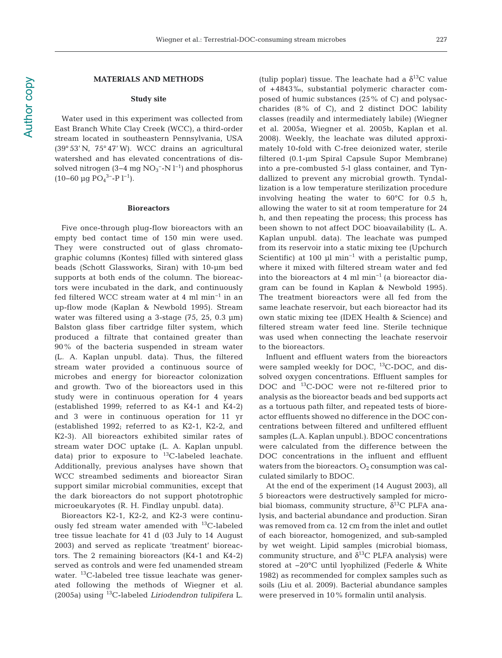### **MATERIALS AND METHODS**

#### **Study site**

Water used in this experiment was collected from East Branch White Clay Creek (WCC), a third-order stream located in southeastern Pennsylvania, USA (39° 53' N, 75° 47' W). WCC drains an agricultural watershed and has elevated concentrations of dissolved nitrogen (3–4 mg  $NO<sub>3</sub><sup>-</sup>-N l<sup>-1</sup>$ ) and phosphorus (10–60 µg PO<sub>4</sub><sup>3–</sup>-P l<sup>-1</sup>).

#### **Bioreactors**

Five once-through plug-flow bioreactors with an empty bed contact time of 150 min were used. They were constructed out of glass chromatographic columns (Kontes) filled with sintered glass beads (Schott Glassworks, Siran) with 10-µm bed supports at both ends of the column. The bioreactors were incubated in the dark, and continuously fed filtered WCC stream water at 4 ml min−1 in an up-flow mode (Kaplan & Newbold 1995). Stream water was filtered using a 3-stage (75, 25, 0.3 µm) Balston glass fiber cartridge filter system, which produced a filtrate that contained greater than 90% of the bacteria suspended in stream water (L. A. Kaplan unpubl. data). Thus, the filtered stream water provided a continuous source of microbes and energy for bioreactor colonization and growth. Two of the bioreactors used in this study were in continuous operation for 4 years (established 1999; referred to as K4-1 and K4-2) and 3 were in continuous operation for 11 yr (established 1992; referred to as K2-1, K2-2, and K2-3). All bioreactors exhibited similar rates of stream water DOC uptake (L. A. Kaplan unpubl. data) prior to exposure to  $^{13}$ C-labeled leachate. Additionally, previous analyses have shown that WCC streambed sediments and bioreactor Siran support similar microbial communities, except that the dark bioreactors do not support phototrophic microeukaryotes (R. H. Findlay unpubl. data).

Bioreactors K2-1, K2-2, and K2-3 were continuously fed stream water amended with  $^{13}$ C-labeled tree tissue leachate for 41 d (03 July to 14 August 2003) and served as replicate 'treatment' bioreactors. The 2 remaining bioreactors (K4-1 and K4-2) served as controls and were fed unamended stream water. 13C-labeled tree tissue leachate was generated following the methods of Wiegner et al. (2005a) using 13C-labeled *Liriodendron tulipifera* L. (tulip poplar) tissue. The leachate had a  $\delta^{13}$ C value of +4843‰, substantial polymeric character composed of humic substances (25% of C) and polysaccharides  $(8\% \text{ of } C)$ , and 2 distinct DOC lability classes (readily and intermediately labile) (Wiegner et al. 2005a, Wiegner et al. 2005b, Kaplan et al. 2008). Weekly, the leachate was diluted approximately 10-fold with C-free deionized water, sterile filtered (0.1-µm Spiral Capsule Supor Membrane) into a pre-combusted 5-l glass container, and Tyndallized to prevent any microbial growth. Tyndallization is a low temperature sterilization procedure involving heating the water to 60°C for 0.5 h, allowing the water to sit at room temperature for 24 h, and then repeating the process; this process has been shown to not affect DOC bioavailability (L. A. Kaplan unpubl. data). The leachate was pumped from its reservoir into a static mixing tee (Upchurch Scientific) at 100 µl min<sup>-1</sup> with a peristaltic pump, where it mixed with filtered stream water and fed into the bioreactors at 4 ml min−1 (a bioreactor diagram can be found in Kaplan & Newbold 1995). The treatment bioreactors were all fed from the same leachate reservoir, but each bioreactor had its own static mixing tee (IDEX Health & Science) and filtered stream water feed line. Sterile technique was used when connecting the leachate reservoir to the bioreactors.

Influent and effluent waters from the bioreactors were sampled weekly for DOC, <sup>13</sup>C-DOC, and dissolved oxygen concentrations. Effluent samples for DOC and 13C-DOC were not re-filtered prior to analysis as the bioreactor beads and bed supports act as a tortuous path filter, and repeated tests of bioreactor effluents showed no difference in the DOC concentrations between filtered and unfiltered effluent samples (L.A. Kaplan unpubl.). BDOC concentrations were calculated from the difference between the DOC concentrations in the influent and effluent waters from the bioreactors.  $O_2$  consumption was calculated similarly to BDOC.

At the end of the experiment (14 August 2003), all 5 bioreactors were destructively sampled for microbial biomass, community structure,  $\delta^{13}$ C PLFA analysis, and bacterial abundance and production. Siran was removed from ca. 12 cm from the inlet and outlet of each bioreactor, homogenized, and sub-sampled by wet weight. Lipid samples (microbial biomass, community structure, and  $\delta^{13}$ C PLFA analysis) were stored at −20°C until lyophilized (Federle & White 1982) as recommended for complex samples such as soils (Liu et al. 2009). Bacterial abundance samples were preserved in 10% formalin until analysis.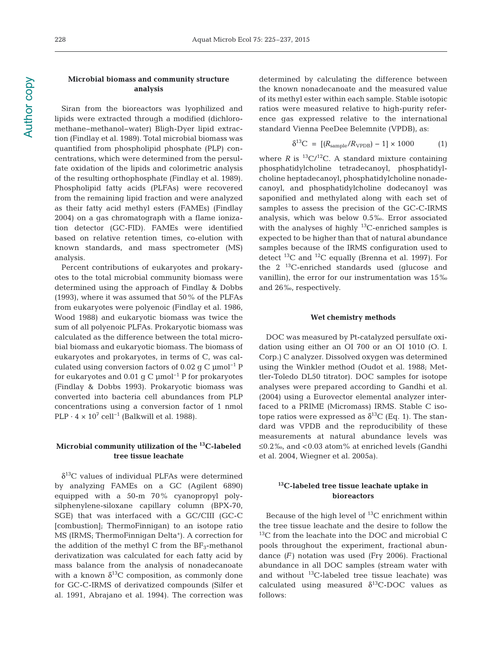**Author copy** Author copy

# **Microbial biomass and community structure analysis**

Siran from the bioreactors was lyophilized and lipids were extracted through a modified (dichloromethane−methanol−water) Bligh-Dyer lipid extraction (Findlay et al. 1989). Total microbial biomass was quantified from phospholipid phosphate (PLP) concentrations, which were determined from the persulfate oxidation of the lipids and colorimetric analysis of the resulting orthophosphate (Findlay et al. 1989). Phospholipid fatty acids (PLFAs) were recovered from the remaining lipid fraction and were analyzed as their fatty acid methyl esters (FAMEs) (Findlay 2004) on a gas chromatograph with a flame ionization detector (GC-FID). FAMEs were identified based on relative retention times, co-elution with known standards, and mass spectrometer (MS) analysis.

Percent contributions of eukaryotes and prokaryotes to the total microbial community biomass were determined using the approach of Findlay & Dobbs (1993), where it was assumed that 50% of the PLFAs from eukaryotes were polyenoic (Findlay et al. 1986, Wood 1988) and eukaryotic biomass was twice the sum of all polyenoic PLFAs. Prokaryotic biomass was calculated as the difference between the total microbial biomass and eukaryotic biomass. The biomass of eukaryotes and prokaryotes, in terms of C, was calculated using conversion factors of 0.02 g C µmol−1 P for eukaryotes and 0.01 g C  $\mu$ mol<sup>-1</sup> P for prokaryotes (Findlay & Dobbs 1993). Prokaryotic biomass was converted into bacteria cell abundances from PLP concentrations using a conversion factor of 1 nmol PLP  $\cdot$  4 × 10<sup>7</sup> cell<sup>-1</sup> (Balkwill et al. 1988).

# **Microbial community utilization of the 13C-labeled tree tissue leachate**

 $\delta^{13}$ C values of individual PLFAs were determined by analyzing FAMEs on a GC (Agilent 6890) equipped with a 50-m 70% cyanopropyl polysilphenylene-siloxane capillary column (BPX-70, SGE) that was interfaced with a GC/CIII (GC-C [combustion]; ThermoFinnigan) to an isotope ratio MS (IRMS; ThermoFinnigan Delta<sup>+</sup>). A correction for the addition of the methyl C from the  $BF_3$ -methanol derivatization was calculated for each fatty acid by mass balance from the analysis of nonadecanoate with a known  $\delta^{13}$ C composition, as commonly done for GC-C-IRMS of derivatized compounds (Silfer et al. 1991, Abrajano et al. 1994). The correction was determined by calculating the difference between the known nonadecanoate and the measured value of its methyl ester within each sample. Stable isotopic ratios were measured relative to high-purity reference gas expressed relative to the international standard Vienna PeeDee Belemnite (VPDB), as:

$$
\delta^{13}C = [(R_{\text{sample}}/R_{\text{VPDB}}) - 1] \times 1000 \tag{1}
$$

where *R* is  ${}^{13}C/{}^{12}C$ . A standard mixture containing phosphatidylcholine tetradecanoyl, phosphatidylcholine heptadecanoyl, phosphatidylcholine nonadecanoyl, and phosphatidylcholine dodecanoyl was saponified and methylated along with each set of samples to assess the precision of the GC-C-IRMS analysis, which was below 0.5‰. Error associated with the analyses of highly  $^{13}$ C-enriched samples is expected to be higher than that of natural abundance samples because of the IRMS configuration used to detect  $^{13}$ C and  $^{12}$ C equally (Brenna et al. 1997). For the  $2^{13}$ C-enriched standards used (glucose and vanillin), the error for our instrumentation was 15‰ and 26‰, respectively.

#### **Wet chemistry methods**

DOC was measured by Pt-catalyzed persulfate oxidation using either an OI 700 or an OI 1010 (O. I. Corp.) C analyzer. Dissolved oxygen was determined using the Winkler method (Oudot et al. 1988; Mettler-Toledo DL50 titrator). DOC samples for isotope analyses were prepared according to Gandhi et al. (2004) using a Eurovector elemental analyzer interfaced to a PRIME (Micromass) IRMS. Stable C isotope ratios were expressed as  $\delta^{13}$ C (Eq. 1). The standard was VPDB and the reproducibility of these measurements at natural abundance levels was ≤0.2‰, and <0.03 atom% at enriched levels (Gandhi et al. 2004, Wiegner et al. 2005a).

# **13C-labeled tree tissue leachate uptake in bioreactors**

Because of the high level of  $^{13}$ C enrichment within the tree tissue leachate and the desire to follow the  $13C$  from the leachate into the DOC and microbial C pools throughout the experiment, fractional abundance *(F)* notation was used (Fry 2006). Fractional abundance in all DOC samples (stream water with and without 13C-labeled tree tissue leachate) was calculated using measured  $\delta^{13}$ C-DOC values as follows: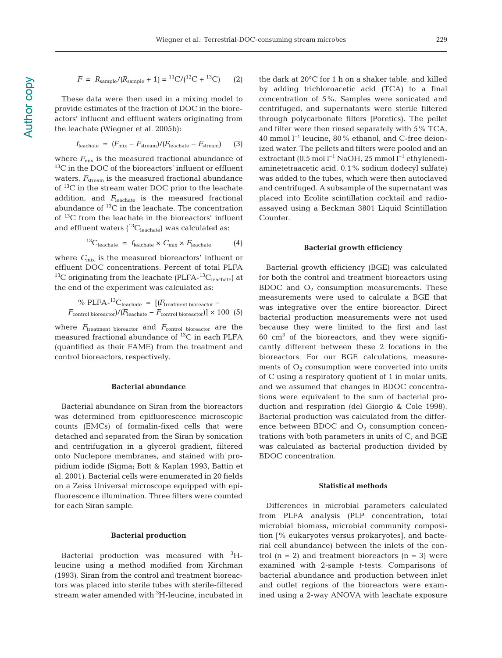$$
F = R_{\text{sample}} / (R_{\text{sample}} + 1) = {}^{13}C / ({}^{12}C + {}^{13}C) \tag{2}
$$

These data were then used in a mixing model to provide estimates of the fraction of DOC in the bioreactors' influent and effluent waters originating from the leachate (Wiegner et al. 2005b):

$$
f_{\text{leachate}} = (F_{\text{mix}} - F_{\text{stream}})/(F_{\text{leachate}} - F_{\text{stream}})
$$
 (3)

where  $F_{\text{mix}}$  is the measured fractional abundance of <sup>13</sup>C in the DOC of the bioreactors' influent or effluent waters,  $F_{\text{stream}}$  is the measured fractional abundance of 13C in the stream water DOC prior to the leachate addition, and *F*leachate is the measured fractional abundance of 13C in the leachate. The concentration of 13C from the leachate in the bioreactors' influent and effluent waters  $(^{13}C_{\rm{leachate}})$  was calculated as:

$$
{}^{13}C_{\text{leachate}} = f_{\text{leachate}} \times C_{\text{mix}} \times F_{\text{leachate}} \tag{4}
$$

where  $C_{\text{mix}}$  is the measured bioreactors' influent or effluent DOC concentrations. Percent of total PLFA <sup>13</sup>C originating from the leachate (PLFA- $^{13}C_{\text{leachate}}$ ) at the end of the experiment was calculated as:

% PLFA-13Cleachate = [*(F*treatment bioreactor − *F*control bioreactor)*/(F*leachate − *F*control bioreactor)] × 100 (5)

where  $F_{\text{treatment bioreactor}}$  and  $F_{\text{control bioreactor}}$  are the measured fractional abundance of  $^{13}C$  in each PLFA (quantified as their FAME) from the treatment and control bioreactors, respectively.

#### **Bacterial abundance**

Bacterial abundance on Siran from the bioreactors was determined from epifluorescence microscopic counts (EMCs) of formalin-fixed cells that were detached and separated from the Siran by sonication and centrifugation in a glycerol gradient, filtered onto Nuclepore membranes, and stained with propidium iodide (Sigma; Bott & Kaplan 1993, Battin et al. 2001). Bacterial cells were enumerated in 20 fields on a Zeiss Universal microscope equipped with epifluorescence illumination. Three filters were counted for each Siran sample.

#### **Bacterial production**

Bacterial production was measured with <sup>3</sup>Hleucine using a method modified from Kirchman (1993). Siran from the control and treatment bioreactors was placed into sterile tubes with sterile-filtered stream water amended with <sup>3</sup>H-leucine, incubated in

the dark at 20°C for 1 h on a shaker table, and killed by adding trichloroacetic acid (TCA) to a final concentration of 5%. Samples were sonicated and centrifuged, and supernatants were sterile filtered through polycarbonate filters (Poretics). The pellet and filter were then rinsed separately with 5% TCA, 40 mmol l−1 leucine, 80% ethanol, and C-free deionized water. The pellets and filters were pooled and an extractant (0.5 mol l<sup>-1</sup> NaOH, 25 mmol l<sup>-1</sup> ethylenediaminetetraacetic acid, 0.1% sodium dodecyl sulfate) was added to the tubes, which were then autoclaved and centrifuged. A subsample of the supernatant was placed into Ecolite scintillation cocktail and radioassayed using a Beckman 3801 Liquid Scintillation Counter.

#### **Bacterial growth efficiency**

Bacterial growth efficiency (BGE) was calculated for both the control and treatment bioreactors using BDOC and  $O_2$  consumption measurements. These measurements were used to calculate a BGE that was integrative over the entire bioreactor. Direct bacterial production measurements were not used because they were limited to the first and last  $60 \text{ cm}^3$  of the bioreactors, and they were significantly different between these 2 locations in the bioreactors. For our BGE calculations, measurements of  $O_2$  consumption were converted into units of C using a respiratory quotient of 1 in molar units, and we assumed that changes in BDOC concentrations were equivalent to the sum of bacterial production and respiration (del Giorgio & Cole 1998). Bacterial production was calculated from the difference between BDOC and  $O_2$  consumption concentrations with both parameters in units of C, and BGE was calculated as bacterial production divided by BDOC concentration.

#### **Statistical methods**

Differences in microbial parameters calculated from PLFA analysis (PLP concentration, total microbial biomass, microbial community composition [% eukaryotes versus prokaryotes], and bacterial cell abundance) between the inlets of the control  $(n = 2)$  and treatment bioreactors  $(n = 3)$  were examined with 2-sample *t*-tests. Comparisons of bacterial abundance and production between inlet and outlet regions of the bioreactors were examined using a 2-way ANOVA with leachate exposure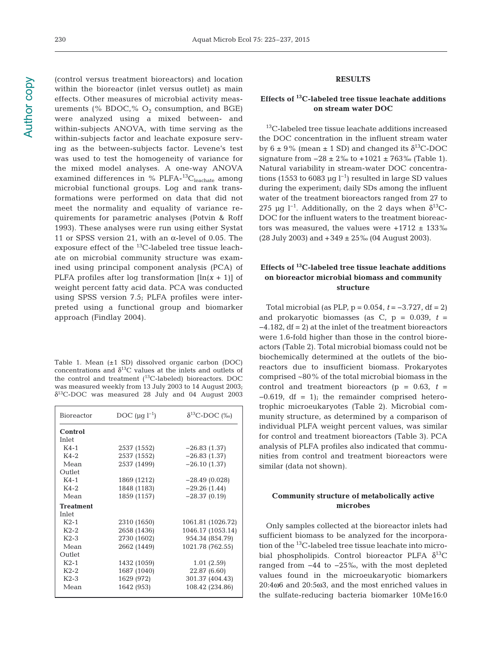Author copy Author copy

(control versus treatment bioreactors) and location within the bioreactor (inlet versus outlet) as main effects. Other measures of microbial activity measurements (% BDOC, %  $O_2$  consumption, and BGE) were analyzed using a mixed between- and within-subjects ANOVA, with time serving as the within-subjects factor and leachate exposure serving as the between-subjects factor. Levene's test was used to test the homogeneity of variance for the mixed model analyses. A one-way ANOVA examined differences in % PLFA- ${}^{13}C_{\text{leachate}}$  among microbial functional groups. Log and rank transformations were performed on data that did not meet the normality and equality of variance requirements for parametric analyses (Potvin & Roff 1993). These analyses were run using either Systat 11 or SPSS version 21, with an α-level of 0.05. The exposure effect of the  $^{13}$ C-labeled tree tissue leachate on microbial community structure was examined using principal component analysis (PCA) of PLFA profiles after log transformation  $[\ln(x + 1)]$  of weight percent fatty acid data. PCA was conducted using SPSS version 7.5; PLFA profiles were interpreted using a functional group and biomarker approach (Findlay 2004).

Table 1. Mean (±1 SD) dissolved organic carbon (DOC) concentrations and  $\delta^{13}$ C values at the inlets and outlets of the control and treatment  $(^{13}C$ -labeled) bioreactors. DOC was measured weekly from 13 July 2003 to 14 August 2003;  $\delta^{13}$ C-DOC was measured 28 July and 04 August 2003

| Bioreactor       | DOC $(\mu q l^{-1})$ | $\delta^{13}$ C-DOC (‰) |
|------------------|----------------------|-------------------------|
| Control          |                      |                         |
| Inlet            |                      |                         |
| $K4-1$           | 2537 (1552)          | $-26.83(1.37)$          |
| $K4-2$           | 2537 (1552)          | $-26.83(1.37)$          |
| Mean             | 2537 (1499)          | $-26.10(1.37)$          |
| Outlet           |                      |                         |
| $K4-1$           | 1869 (1212)          | $-28.49(0.028)$         |
| $K4-2$           | 1848 (1183)          | $-29.26(1.44)$          |
| Mean             | 1859 (1157)          | $-28.37(0.19)$          |
| <b>Treatment</b> |                      |                         |
| Inlet            |                      |                         |
| $K2-1$           | 2310 (1650)          | 1061.81 (1026.72)       |
| $K2-2$           | 2658 (1436)          | 1046.17 (1053.14)       |
| $K2-3$           | 2730 (1602)          | 954.34 (854.79)         |
| Mean             | 2662 (1449)          | 1021.78 (762.55)        |
| Outlet           |                      |                         |
| $K2-1$           | 1432 (1059)          | 1.01(2.59)              |
| $K2-2$           | 1687 (1040)          | 22.87 (6.60)            |
| $K2-3$           | 1629 (972)           | 301.37 (404.43)         |
| Mean             | 1642 (953)           | 108.42 (234.86)         |

# **RESULTS**

# **Effects of 13C-labeled tree tissue leachate additions on stream water DOC**

13C-labeled tree tissue leachate additions increased the DOC concentration in the influent stream water by  $6 \pm 9\%$  (mean  $\pm 1$  SD) and changed its  $\delta^{13}$ C-DOC signature from  $-28 \pm 2\%$  to  $+1021 \pm 763\%$  (Table 1). Natural variability in stream-water DOC concentrations (1553 to 6083 µg l<sup>-1</sup>) resulted in large SD values during the experiment; daily SDs among the influent water of the treatment bioreactors ranged from 27 to 275 μg l<sup>-1</sup>. Additionally, on the 2 days when  $δ^{13}C$ -DOC for the influent waters to the treatment bioreactors was measured, the values were  $+1712 \pm 133\%$ (28 July 2003) and +349 ± 25‰ (04 August 2003).

# **Effects of 13C-labeled tree tissue leachate additions on bioreactor microbial biomass and community structure**

Total microbial (as PLP, p = 0.054, *t* = −3.727, df = 2) and prokaryotic biomasses (as  $C$ ,  $p = 0.039$ ,  $t =$ −4.182, df = 2) at the inlet of the treatment bioreactors were 1.6-fold higher than those in the control bioreactors (Table 2). Total microbial biomass could not be biochemically determined at the outlets of the bioreactors due to insufficient biomass. Prokaryotes comprised ~80% of the total microbial biomass in the control and treatment bioreactors ( $p = 0.63$ ,  $t =$  $-0.619$ , df = 1); the remainder comprised heterotrophic microeukaryotes (Table 2). Microbial community structure, as determined by a comparison of individual PLFA weight percent values, was similar for control and treatment bioreactors (Table 3). PCA analysis of PLFA profiles also indicated that communities from control and treatment bioreactors were similar (data not shown).

# **Community structure of metabolically active microbes**

Only samples collected at the bioreactor inlets had sufficient biomass to be analyzed for the incorporation of the 13C-labeled tree tissue leachate into microbial phospholipids. Control bioreactor PLFA  $\delta^{13}$ C ranged from −44 to −25‰, with the most depleted values found in the microeukaryotic biomarkers 20:4ω6 and 20:5ω3, and the most enriched values in the sulfate-reducing bacteria biomarker 10Me16:0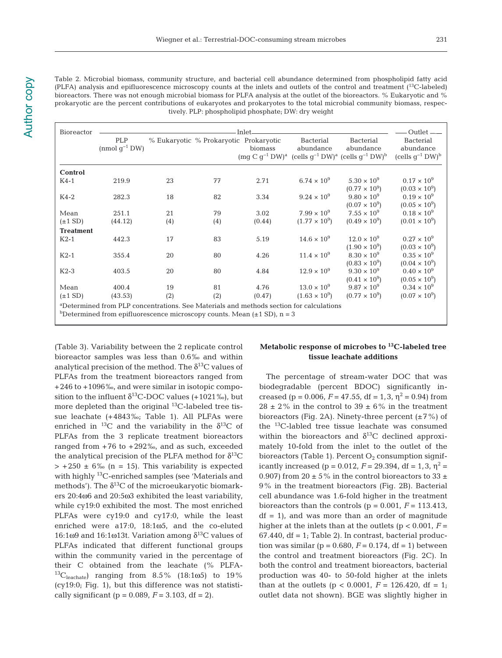Table 2. Microbial biomass, community structure, and bacterial cell abundance determined from phospholipid fatty acid (PLFA) analysis and epifluorescence microscopy counts at the inlets and outlets of the control and treatment (13C-labeled) bioreactors. There was not enough microbial biomass for PLFA analysis at the outlet of the bioreactors. % Eukaryotic and % prokaryotic are the percent contributions of eukaryotes and prokaryotes to the total microbial community biomass, respectively. PLP: phospholipid phosphate; DW: dry weight

| Bioreactor       |                                                                                                     |     |                                        | Inlet-  |                               |                                                                                                                                                                   | Outlet —                                                          |
|------------------|-----------------------------------------------------------------------------------------------------|-----|----------------------------------------|---------|-------------------------------|-------------------------------------------------------------------------------------------------------------------------------------------------------------------|-------------------------------------------------------------------|
|                  | PLP<br>(nmol $q^{-1}$ DW)                                                                           |     | % Eukaryotic % Prokaryotic Prokaryotic | biomass | Bacterial<br>abundance        | <b>Bacterial</b><br>abundance<br>$\left(\text{mg } C\right)g^{-1}DW$ <sup>a</sup> $\left(\text{cells } g^{-1}DW\right)^a$ $\left(\text{cells } g^{-1}DW\right)^b$ | <b>Bacterial</b><br>abundance<br>(cells $q^{-1}$ DW) <sup>b</sup> |
| Control          |                                                                                                     |     |                                        |         |                               |                                                                                                                                                                   |                                                                   |
| $K4-1$           | 219.9                                                                                               | 23  | 77                                     | 2.71    | 6.74 $\times$ 10 <sup>9</sup> | $5.30 \times 10^{9}$                                                                                                                                              | $0.17 \times 10^{9}$                                              |
|                  |                                                                                                     |     |                                        |         |                               | $(0.77 \times 10^9)$                                                                                                                                              | $(0.03 \times 10^9)$                                              |
| $K4-2$           | 282.3                                                                                               | 18  | 82                                     | 3.34    | $9.24 \times 10^{9}$          | $9.80 \times 10^{9}$                                                                                                                                              | $0.19 \times 10^{9}$                                              |
|                  |                                                                                                     |     |                                        |         |                               | $(0.07 \times 10^9)$                                                                                                                                              | $(0.05 \times 10^9)$                                              |
| Mean             | 251.1                                                                                               | 21  | 79                                     | 3.02    | $7.99 \times 10^{9}$          | $7.55 \times 10^{9}$                                                                                                                                              | $0.18 \times 10^{9}$                                              |
| $(\pm 1$ SD)     | (44.12)                                                                                             | (4) | (4)                                    | (0.44)  | $(1.77 \times 10^9)$          | $(0.49 \times 10^9)$                                                                                                                                              | $(0.01 \times 10^9)$                                              |
| <b>Treatment</b> |                                                                                                     |     |                                        |         |                               |                                                                                                                                                                   |                                                                   |
| $K2-1$           | 442.3                                                                                               | 17  | 83                                     | 5.19    | $14.6 \times 10^{9}$          | $12.0 \times 10^{9}$                                                                                                                                              | $0.27 \times 10^{9}$                                              |
|                  |                                                                                                     |     |                                        |         |                               | $(1.90 \times 10^9)$                                                                                                                                              | $(0.03 \times 10^9)$                                              |
| $K2-1$           | 355.4                                                                                               | 20  | 80                                     | 4.26    | $11.4 \times 10^{9}$          | $8.30 \times 10^{9}$                                                                                                                                              | $0.35 \times 10^{9}$                                              |
|                  |                                                                                                     |     |                                        |         |                               | $(0.83 \times 10^9)$                                                                                                                                              | $(0.04 \times 10^9)$                                              |
| $K2-3$           | 403.5                                                                                               | 20  | 80                                     | 4.84    | $12.9 \times 10^{9}$          | $9.30 \times 10^{9}$                                                                                                                                              | $0.40 \times 10^{9}$                                              |
|                  |                                                                                                     |     |                                        |         |                               | $(0.41 \times 10^9)$                                                                                                                                              | $(0.05 \times 10^9)$                                              |
| Mean             | 400.4                                                                                               | 19  | 81                                     | 4.76    | $13.0 \times 10^{9}$          | $9.87 \times 10^{9}$                                                                                                                                              | $0.34 \times 10^{9}$                                              |
|                  |                                                                                                     |     |                                        |         | $(1.63 \times 10^9)$          | $(0.77 \times 10^9)$                                                                                                                                              | $(0.07 \times 10^9)$                                              |
| $(\pm 1$ SD)     | (43.53)                                                                                             | (2) | (2)                                    | (0.47)  |                               |                                                                                                                                                                   |                                                                   |
|                  | <sup>a</sup> Determined from PLP concentrations. See Materials and methods section for calculations |     |                                        |         |                               |                                                                                                                                                                   |                                                                   |
|                  | <sup>b</sup> Determined from epifluorescence microscopy counts. Mean $(\pm 1 \text{ SD})$ , n = 3   |     |                                        |         |                               |                                                                                                                                                                   |                                                                   |

(Table 3). Variability between the 2 replicate control bioreactor samples was less than 0.6‰ and within analytical precision of the method. The  $\delta^{13}C$  values of PLFAs from the treatment bioreactors ranged from +246 to +1096‰, and were similar in isotopic composition to the influent  $\delta^{13}$ C-DOC values (+1021‰), but more depleted than the original  $^{13}$ C-labeled tree tissue leachate (+4843‰; Table 1). All PLFAs were enriched in <sup>13</sup>C and the variability in the  $\delta^{13}$ C of PLFAs from the 3 replicate treatment bioreactors ranged from  $+76$  to  $+292\%$ , and as such, exceeded the analytical precision of the PLFA method for  $\delta^{13}C$  $> +250 \pm 6\%$  (n = 15). This variability is expected with highly 13C-enriched samples (see 'Materials and methods'). The  $\delta^{13}$ C of the microeukaryotic biomarkers 20:4ω6 and 20:5ω3 exhibited the least variability, while cy19:0 exhibited the most. The most enriched PLFAs were cy19:0 and cy17:0, while the least enriched were a17:0, 18:1ω5, and the co-eluted 16:1ω9 and 16:1ω13t. Variation among  $δ<sup>13</sup>C$  values of PLFAs indicated that different functional groups within the community varied in the percentage of their C obtained from the leachate (% PLFA- ${}^{13}C_{\text{leachate}}$ ) ranging from 8.5% (18:1ω5) to 19% (cy19:0; Fig. 1), but this difference was not statistically significant ( $p = 0.089$ ,  $F = 3.103$ , df = 2).

# **Metabolic response of microbes to 13C-labeled tree tissue leachate additions**

The percentage of stream-water DOC that was biodegradable (percent BDOC) significantly in creased (p = 0.006,  $F = 47.55$ , df = 1, 3,  $\eta^2 = 0.94$ ) from 28  $\pm$  2% in the control to 39  $\pm$  6% in the treatment bioreactors (Fig. 2A). Ninety-three percent  $(\pm 7\%)$  of the 13C-labled tree tissue leachate was consumed within the bioreactors and  $\delta^{13}$ C declined approximately 10-fold from the inlet to the outlet of the bioreactors (Table 1). Percent  $O_2$  consumption significantly increased (p =  $0.012$ ,  $F = 29.394$ , df =  $1,3, \eta^2$  = 0.907) from 20  $\pm$  5% in the control bioreactors to 33  $\pm$ 9% in the treatment bioreactors (Fig. 2B). Bacterial cell abundance was 1.6-fold higher in the treatment bioreactors than the controls ( $p = 0.001$ ,  $F = 113.413$ ,  $df = 1$ , and was more than an order of magnitude higher at the inlets than at the outlets ( $p < 0.001$ ,  $F =$  $67.440$ , df = 1; Table 2). In contrast, bacterial production was similar ( $p = 0.680$ ,  $F = 0.174$ , df = 1) between the control and treatment bioreactors (Fig. 2C). In both the control and treatment bioreactors, bacterial production was 40- to 50-fold higher at the inlets than at the outlets ( $p < 0.0001$ ,  $F = 126.420$ , df = 1; outlet data not shown). BGE was slightly higher in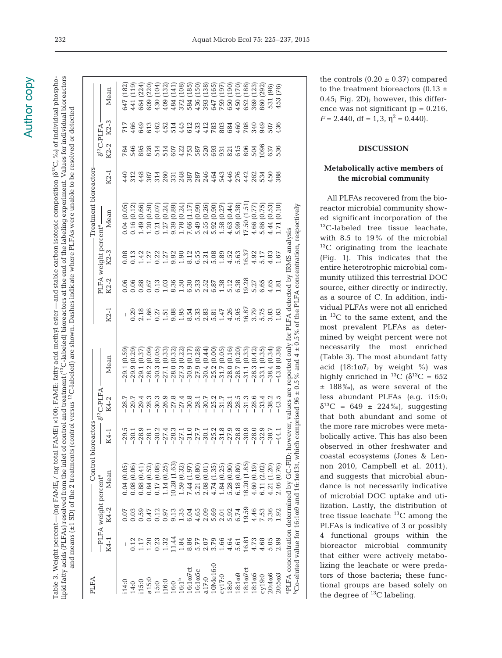# **Author copy** Author copy

lipid fatty acids (PLFAs) resolved from the inlet of control and treatment (13C-labeled) bioreactors at the end of the labeling experiment. Values for individual bioreactors lipid fatty acids (PLFAs) resolved from the inlet of control and treatment (<sup>13</sup>C-labeled) bioreactors at the end of the labeling experiment. Values for individual bioreactors Table 3. Weight percent—(ng FAME<sub>i</sub> / ng total FAME) ×100; FAME: fatty acid methyl ester—and stable carbon isotopic composition (6<sup>13</sup>C, ‰) of individual phospho-Table 3. Weight percent—(ng FAMEi / ng total FAME) ×100; FAME: fatty acid methyl ester—and stable carbon isotopic composition (δ13C, ‰) of individual phosphoand means (±1 SD) of the 2 treatments (control versus <sup>13</sup>C-labeled) are shown. Dashes indicate where PLFAs were unable to be resolved or detected and means (±1 SD) of the 2 treatments (control versus 13C-labeled) are shown. Dashes indicate where PLFAs were unable to be resolved or detected

| PLFA                                                                                                                     |                                             |                            |                                                               | Control bioreactors                                                                                                                                                                                                                                                                                                    |                      |                                                                                                                            |                     |       |                                  | Treatment bioreactors |                     |                 |                   |              |
|--------------------------------------------------------------------------------------------------------------------------|---------------------------------------------|----------------------------|---------------------------------------------------------------|------------------------------------------------------------------------------------------------------------------------------------------------------------------------------------------------------------------------------------------------------------------------------------------------------------------------|----------------------|----------------------------------------------------------------------------------------------------------------------------|---------------------|-------|----------------------------------|-----------------------|---------------------|-----------------|-------------------|--------------|
|                                                                                                                          |                                             |                            | -PLFA weight percent <sup>a</sup> -                           |                                                                                                                                                                                                                                                                                                                        | $\delta^{13}$ C-PLFA |                                                                                                                            |                     |       | PLFA weight percent <sup>a</sup> |                       |                     | $6^{13}$ C-PLFA |                   |              |
|                                                                                                                          | K4-1                                        | K4-2                       | Mean                                                          | K4-1                                                                                                                                                                                                                                                                                                                   | K4-2                 | Mean                                                                                                                       | K2-1                | K2-2  | K2-3                             | Mean                  | K2-1                | K2-2            | K2-3              | Mean         |
| i14:0                                                                                                                    |                                             | 0.07                       | 0.04(0.05)                                                    |                                                                                                                                                                                                                                                                                                                        | $-28.7$              | $-29.1(0.59)$                                                                                                              |                     | 0.06  | 0.08                             | 0.04 (0.05)           | 440                 | 784             | 717               | (182)<br>647 |
|                                                                                                                          |                                             |                            | 0.08(0.06)                                                    |                                                                                                                                                                                                                                                                                                                        | $-29.7$              | $-29.9(0.29)$                                                                                                              | 0.29                | 0.06  | 0.13                             | 0.16(0.12)            |                     | 546             | 466               | 441 (119)    |
| 14:0<br>15:0                                                                                                             | 0.17<br>1.170<br>1.323<br>1.32              | 0.59<br>0.59<br>0.0        | 0.88(0.41)                                                    | $-29.5$<br>$-30.1$<br>$-28.1$<br>$-28.1$                                                                                                                                                                                                                                                                               | $-29.4$              | $-29.1(0.37)$                                                                                                              |                     | 0.88  |                                  | 1.49(0.66)            | 313<br>4387<br>314  | 895             | 649               | (224)<br>664 |
|                                                                                                                          |                                             |                            | 0.84(0.52)                                                    |                                                                                                                                                                                                                                                                                                                        | $-28.3$              | $-28.2(0.09)$                                                                                                              | $\frac{2.18}{1.66}$ | 0.67  | $1.42$<br>$1.27$                 | 1.20(0.50)            |                     |                 | 613               | 609 (220)    |
|                                                                                                                          |                                             |                            | 0.17(0.08)                                                    |                                                                                                                                                                                                                                                                                                                        | $-30.3$              | $-30.3(0.05$                                                                                                               | 0.27                | 0.13  | 0.22                             | 0.21(0.07             |                     | 828<br>514      | 462               | 430 (104     |
| $\begin{array}{l} 415;0\\ 15;0\\ 116;0\\ 16;0\\ 16;1\\ 16;1\\ 16;10\\ 16;107 \text{ct}\\ 16;107 \text{ct}\\ \end{array}$ |                                             | 0.135<br>0.97<br>1.35      | 1.14(0.25)                                                    |                                                                                                                                                                                                                                                                                                                        | $-26.9$              | $-27.1(0.33)$                                                                                                              | 1.51                | 1.03  | 1.27                             | 1.27(0.24)            |                     |                 | 452               | 109 (132)    |
|                                                                                                                          | 11.44                                       |                            | 10.28 (1.63)                                                  |                                                                                                                                                                                                                                                                                                                        | $-27.8$              | $-28.0(0.32)$                                                                                                              | 9.88                | 8.36  | 9.92                             | 9.39(0.89)            |                     | 514<br>607      |                   | 184 (141     |
|                                                                                                                          | 1.84                                        |                            | 1.59 (0.32)                                                   |                                                                                                                                                                                                                                                                                                                        | $-27.4$              | $-27.3(0.22)$                                                                                                              | 1.95                | 1.50  | 001.1                            | 1.78 (0.24)           | 260<br>331<br>248   | 422             | 514<br>445        | 372 (108)    |
|                                                                                                                          |                                             | 6.04                       | 7.44 (1.97)                                                   |                                                                                                                                                                                                                                                                                                                        | $-30.8$              | $-30.9(0.17)$                                                                                                              | 8.54                | 6.30  | 8.12                             | 7.66 (1.17            |                     | 753             | 612               | 584 (185)    |
| 16:105C                                                                                                                  |                                             | $4.65$<br>$0.69$<br>$0.69$ | $\begin{array}{c} 5.21 \ (0.80) \\ 2.08 \ (0.01) \end{array}$ |                                                                                                                                                                                                                                                                                                                        | $-28.1$              | $-27.9(0.28)$                                                                                                              | 5.33                | 5.33  | 6.55                             | 5.49 (0.99)           | 387<br>285<br>464   | 587             |                   | 436 (150)    |
| a17:0                                                                                                                    |                                             |                            |                                                               |                                                                                                                                                                                                                                                                                                                        | $-30.7$              | $-30.4(0.44)$                                                                                                              | 2.83                | 2.52  | 2.31                             | 2.55 (0.26)           |                     | 520             | 433<br>412<br>783 | (138)<br>393 |
| 10Me16:0                                                                                                                 |                                             |                            | 4.74 (1.35)                                                   |                                                                                                                                                                                                                                                                                                                        | $-25.2$              | $-25.2(0.00)$                                                                                                              | 5.81                | 6.87  | 5.08                             | 5.92(0.90)            |                     | 693             |                   | 647 (165)    |
|                                                                                                                          | $0.779041$ $0.707040$ $0.707040$ $0.707040$ |                            | 1.84(0.25)                                                    | $\begin{array}{cccccccccc} 2 & 4 & 3 & 7 & 1 & 0 & 1 & 7 & 3 & 3 & 9 & 8 \\ 7 & 7 & 8 & 8 & 7 & 7 & 7 & 7 & 7 & 8 & 9 & 9 & 8 \\ 7 & 8 & 8 & 7 & 7 & 7 & 7 & 8 & 7 & 7 & 7 & 8 \\ 8 & 9 & 1 & 9 & 1 & 9 & 1 & 9 & 1 & 9 & 1 & 1 \\ 9 & 1 & 9 & 1 & 9 & 1 & 9 & 1 & 9 & 1 & 1 \\ 10 & 10 & 10 & 10 & 10 & 10 & 10 & 10$ | $-31.7$              | $-31.7(0.05)$                                                                                                              | 1.47                | 1.38  | 1.89                             | 1.58 (0.27)           |                     | 931             | 803               | 759 (197     |
| $Cy17:0$<br>$18:0$                                                                                                       |                                             | $2.01$<br>$5.92$<br>$6.74$ | 5.28(0.90)                                                    |                                                                                                                                                                                                                                                                                                                        | $-28.1$              | $-28.0(0.16)$                                                                                                              | 4.26                | 5.12  | 4.52                             | 4.63 (0.44)           | 5456<br>5454<br>544 | 821<br>615      | 684               | 550 (190)    |
| 18:1ω9                                                                                                                   |                                             |                            | 6.18(0.80)                                                    |                                                                                                                                                                                                                                                                                                                        | $-28.5$              | $-28.7(0.20)$                                                                                                              | 5.95                |       | 5.63                             | 5.99 (0.38)           |                     |                 | 460               | 150 (170)    |
| $18:1007$ ct                                                                                                             | 16.81                                       | 19.59                      | 18.20 (1.85)                                                  | $-30.9$                                                                                                                                                                                                                                                                                                                | $-31.3$              | (0.33)<br>$-31.1$                                                                                                          | 16.87               | 19.28 | 16.37                            | 17.50 (1.51)          |                     | 806             | 708               | 352 (188)    |
| 18:1005                                                                                                                  | 4.73                                        |                            | 4.60 (0.19)                                                   | $-28.0$                                                                                                                                                                                                                                                                                                                | $-28.6$              | $-28.3(0.42)$                                                                                                              | 3.79                | 5.27  | 4.92                             | 4.66 (0.77)           | 262<br>534          | 504             | 340               | 869 (123)    |
| cy19:0                                                                                                                   | 4.68<br>5.05                                | $4.46$<br>$7.53$<br>$3.36$ | 6.11(2.02)                                                    | $-32.9$                                                                                                                                                                                                                                                                                                                | $-33.4$              | $-33.1(0.35)$                                                                                                              | 5.75                | 6.65  | 5.17                             | 5.86 (0.75)           |                     | 1096            | 949               | 860 (292)    |
| 20:4006                                                                                                                  |                                             |                            | 4.21 (1.20)                                                   | $-38.7$                                                                                                                                                                                                                                                                                                                | $-38.2$              | $-38.4(0.34)$                                                                                                              | 3.83                | 4.65  | 4.83                             | 4.44 (0.53)           | 450                 | 637             | 507               | (96)<br>531  |
| 20:5003                                                                                                                  | 2.99                                        | 1.92                       | 2.46 (0.76)                                                   | $-44.1$                                                                                                                                                                                                                                                                                                                | $-43.5$              | 43.8 (0.38)                                                                                                                | 1,63                | 1.81  | 1.67                             | (0.10)<br>1.71        | 388                 | 536             | 436               | (76)<br>453  |
|                                                                                                                          |                                             |                            |                                                               |                                                                                                                                                                                                                                                                                                                        |                      | <sup>a</sup> PLFA concentration determined by GC-FID; however, values are reported only for PLFA detected by IRMS analysis |                     |       |                                  |                       |                     |                 |                   |              |
|                                                                                                                          |                                             |                            | <sup>b</sup> Co-eluted value for 16:109 and 16:1013t, which   |                                                                                                                                                                                                                                                                                                                        |                      | comprised 96 $\pm$ 0.5% and 4 $\pm$ 0.5% of the PLFA concentration, respectively                                           |                     |       |                                  |                       |                     |                 |                   |              |

the controls  $(0.20 \pm 0.37)$  compared to the treatment bioreactors  $(0.13 \pm 1)$ 0.45; Fig. 2D); however, this difference was not significant ( $p = 0.216$ ,  $F = 2.440$ , df = 1, 3,  $\eta^2 = 0.440$ ).

#### **DISCUSSION**

### **Metabolically active members of the microbial community**

All PLFAs recovered from the bioreactor microbial community show ed significant incorporation of the  ${}^{13}$ C-labeled tree tissue leachate, with 8.5 to 19% of the microbial <sup>13</sup>C originating from the leachate (Fig. 1). This indicates that the entire heterotrophic microbial community utilized this terrestrial DOC source, either directly or indirectly, as a source of C. In addition, individual PLFAs were not all enriched in 13C to the same extent, and the most prevalent PLFAs as determined by weight percent were not necessarily the most enriched (Table 3). The most abundant fatty acid  $(18:1\omega^2)$ ; by weight %) was highly enriched in <sup>13</sup>C ( $\delta^{13}$ C = 652 ± 188‰), as were several of the less abundant PLFAs (e.g. i15:0;  $\delta^{13}C = 649 \pm 224\%$ , suggesting that both abundant and some of the more rare microbes were metabolically active. This has also been observed in other freshwater and coastal ecosystems (Jones & Lennon 2010, Campbell et al. 2011), and suggests that microbial abundance is not necessarily indicative of microbial DOC uptake and utilization. Lastly, the distribution of tree tissue leachate  ${}^{13}$ C among the PLFAs is indicative of 3 or possibly 4 functional groups within the bioreactor microbial community that either were actively metabolizing the leachate or were predators of those bacteria; these functional groups are based solely on the degree of  $^{13}$ C labeling.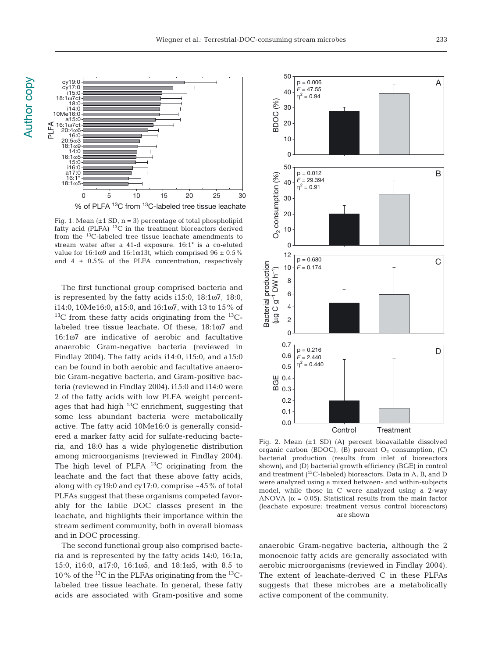

Fig. 1. Mean  $(\pm 1 \text{ SD}, n = 3)$  percentage of total phospholipid fatty acid (PLFA)  $^{13}$ C in the treatment bioreactors derived from the 13C-labeled tree tissue leachate amendments to stream water after a 41-d exposure. 16:1\* is a co-eluted value for  $16:1\omega9$  and  $16:1\omega13t$ , which comprised  $96 \pm 0.5\%$ and  $4 \pm 0.5\%$  of the PLFA concentration, respectively

The first functional group comprised bacteria and is represented by the fatty acids i15:0, 18:1ω7, 18:0, i14:0, 10Me16:0, a15:0, and 16:1ω7, with 13 to 15% of  $^{13}$ C from these fatty acids originating from the  $^{13}$ Clabeled tree tissue leachate. Of these, 18:1ω7 and 16:1ω7 are indicative of aerobic and facultative anaerobic Gram-negative bacteria (reviewed in Findlay 2004). The fatty acids i14:0, i15:0, and a15:0 can be found in both aerobic and facultative anaerobic Gram-negative bacteria, and Gram-positive bacteria (reviewed in Findlay 2004). i15:0 and i14:0 were 2 of the fatty acids with low PLFA weight percentages that had high  $^{13}$ C enrichment, suggesting that some less abundant bacteria were metabolically active. The fatty acid 10Me16:0 is generally considered a marker fatty acid for sulfate-reducing bacteria, and 18:0 has a wide phylogenetic distribution among microorganisms (reviewed in Findlay 2004). The high level of PLFA  $^{13}$ C originating from the leachate and the fact that these above fatty acids, along with cy19:0 and cy17:0, comprise ~45% of total PLFAs suggest that these organisms competed favorably for the labile DOC classes present in the leachate, and highlights their importance within the stream sediment community, both in overall biomass and in DOC processing.

The second functional group also comprised bacteria and is represented by the fatty acids 14:0, 16:1a, 15:0, i16:0, a17:0, 16:1ω5, and 18:1ω5, with 8.5 to 10% of the  $^{13}$ C in the PLFAs originating from the  $^{13}$ Clabeled tree tissue leachate. In general, these fatty acids are associated with Gram-positive and some



Fig. 2. Mean (±1 SD) (A) percent bioavailable dissolved organic carbon (BDOC), (B) percent  $O_2$  consumption, (C) bacterial production (results from inlet of bioreactors shown), and (D) bacterial growth efficiency (BGE) in control and treatment  $(^{13}C$ -labeled) bioreactors. Data in A, B, and D were analyzed using a mixed between- and within-subjects model, while those in C were analyzed using a 2-way ANOVA ( $\alpha$  = 0.05). Statistical results from the main factor (leachate exposure: treatment versus control bioreactors) are shown

anaerobic Gram-negative bacteria, although the 2 monoenoic fatty acids are generally associated with aerobic microorganisms (reviewed in Findlay 2004). The extent of leachate-derived C in these PLFAs suggests that these microbes are a metabolically active component of the community.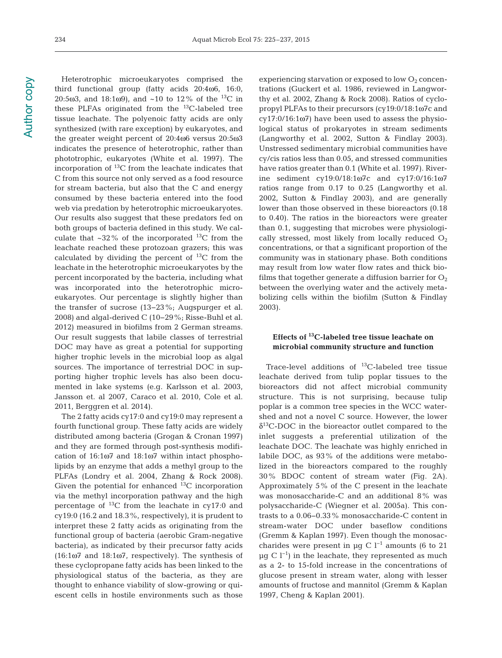Heterotrophic microeukaryotes comprised the third functional group (fatty acids 20:4ω6, 16:0, 20:5ω3, and 18:1ω9), and ~10 to 12% of the <sup>13</sup>C in these PLFAs originated from the  $^{13}$ C-labeled tree tissue leachate. The polyenoic fatty acids are only synthesized (with rare exception) by eukaryotes, and the greater weight percent of 20:4ω6 versus 20:5ω3 indicates the presence of heterotrophic, rather than phototrophic, eukaryotes (White et al. 1997). The incorporation of 13C from the leachate indicates that C from this source not only served as a food resource for stream bacteria, but also that the C and energy consumed by these bacteria entered into the food web via predation by heterotrophic microeukaryotes. Our results also suggest that these predators fed on both groups of bacteria defined in this study. We calculate that  $\sim$ 32% of the incorporated <sup>13</sup>C from the leachate reached these protozoan grazers; this was calculated by dividing the percent of  $^{13}$ C from the leachate in the heterotrophic microeukaryotes by the percent incorporated by the bacteria, including what was incorporated into the heterotrophic microeukaryotes. Our percentage is slightly higher than the transfer of sucrose (13−23%; Augspurger et al. 2008) and algal-derived C (10−29%; Risse-Buhl et al. 2012) measured in biofilms from 2 German streams. Our result suggests that labile classes of terrestrial DOC may have as great a potential for supporting higher trophic levels in the microbial loop as algal sources. The importance of terrestrial DOC in supporting higher trophic levels has also been documented in lake systems (e.g. Karlsson et al. 2003, Jansson et. al 2007, Caraco et al. 2010, Cole et al. 2011, Berggren et al. 2014).

The 2 fatty acids cy17:0 and cy19:0 may represent a fourth functional group. These fatty acids are widely distributed among bacteria (Grogan & Cronan 1997) and they are formed through post-synthesis modification of 16:1ω7 and 18:1ω7 within intact phospholipids by an enzyme that adds a methyl group to the PLFAs (Londry et al. 2004, Zhang & Rock 2008). Given the potential for enhanced  $^{13}$ C incorporation via the methyl incorporation pathway and the high percentage of 13C from the leachate in cy17:0 and cy19:0 (16.2 and 18.3%, respectively), it is prudent to interpret these 2 fatty acids as originating from the functional group of bacteria (aerobic Gram-negative bacteria), as indicated by their precursor fatty acids (16:1ω7 and 18:1ω7, respectively). The synthesis of these cyclopropane fatty acids has been linked to the physiological status of the bacteria, as they are thought to enhance viability of slow-growing or quiescent cells in hostile environments such as those

experiencing starvation or exposed to low  $O_2$  concentrations (Guckert et al. 1986, reviewed in Langworthy et al. 2002, Zhang & Rock 2008). Ratios of cyclopropyl PLFAs to their precursors (cy19:0/18:1ω7c and cy17:0/16:1ω7) have been used to assess the physiological status of prokaryotes in stream sediments (Langworthy et al. 2002, Sutton & Findlay 2003). Unstressed sedimentary microbial communities have cy/cis ratios less than 0.05, and stressed communities have ratios greater than 0.1 (White et al. 1997). Riverine sediment cy19:0/18:1ω7c and cy17:0/16:1ω7 ratios range from 0.17 to 0.25 (Langworthy et al. 2002, Sutton & Findlay 2003), and are generally lower than those observed in these bioreactors (0.18 to 0.40). The ratios in the bioreactors were greater than 0.1, suggesting that microbes were physiologically stressed, most likely from locally reduced  $O_2$ concentrations, or that a significant proportion of the community was in stationary phase. Both conditions may result from low water flow rates and thick biofilms that together generate a diffusion barrier for  $O_2$ between the overlying water and the actively meta bolizing cells within the biofilm (Sutton & Findlay 2003).

# **Effects of 13C-labeled tree tissue leachate on microbial community structure and function**

Trace-level additions of  $^{13}$ C-labeled tree tissue leachate derived from tulip poplar tissues to the bioreactors did not affect microbial community structure. This is not surprising, because tulip poplar is a common tree species in the WCC watershed and not a novel C source. However, the lower  $\delta^{13}$ C-DOC in the bioreactor outlet compared to the inlet suggests a preferential utilization of the leachate DOC. The leachate was highly enriched in labile DOC, as 93% of the additions were metabolized in the bioreactors compared to the roughly 30% BDOC content of stream water (Fig. 2A). Approximately 5% of the C present in the leachate was monosaccharide-C and an additional 8% was polysaccharide-C (Wiegner et al. 2005a). This contrasts to a 0.06–0.33% monosaccharide-C content in stream-water DOC under baseflow conditions (Gremm & Kaplan 1997). Even though the monosaccharides were present in µg C  $l^{-1}$  amounts (6 to 21  $\mu$ g C l<sup>-1</sup>) in the leachate, they represented as much as a 2- to 15-fold increase in the concentrations of glucose present in stream water, along with lesser amounts of fructose and mannitol (Gremm & Kaplan 1997, Cheng & Kaplan 2001).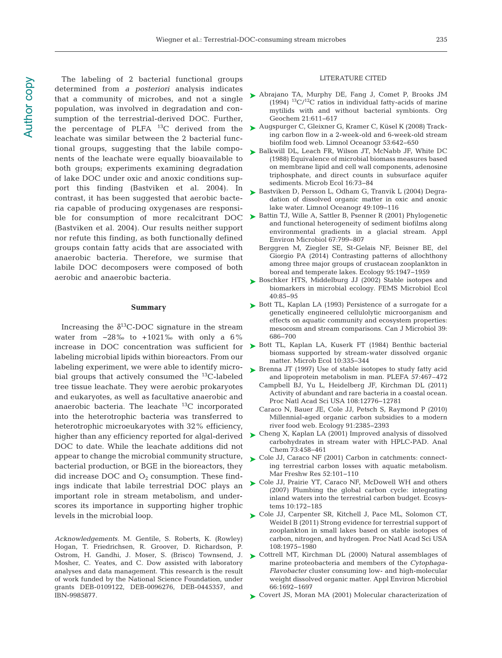The labeling of 2 bacterial functional groups determined from *a posteriori* analysis indicates that a community of microbes, and not a single population, was involved in degradation and consumption of the terrestrial-derived DOC. Further, the percentage of PLFA  $^{13}$ C derived from the leachate was similar between the 2 bacterial functional groups, suggesting that the labile components of the leachate were equally bioavailable to both groups; experiments examining degradation of lake DOC under oxic and anoxic conditions support this finding (Bastviken et al. 2004). In contrast, it has been suggested that aerobic bacteria capable of producing oxygenases are responsi-(Bastviken et al. 2004). Our results neither support nor refute this finding, as both functionally defined groups contain fatty acids that are associated with anaerobic bacteria. Therefore, we surmise that labile DOC decomposers were composed of both aerobic and anaerobic bacteria.

#### **Summary**

Increasing the  $\delta^{13}$ C-DOC signature in the stream water from −28‰ to +1021‰ with only a 6% labeling microbial lipids within bioreactors. From our labeling experiment, we were able to identify microbial groups that actively consumed the  $^{13}$ C-labeled tree tissue leachate. They were aerobic prokaryotes and eukaryotes, as well as facultative anaerobic and anaerobic bacteria. The leachate  $^{13}$ C incorporated into the heterotrophic bacteria was transferred to heterotrophic microeukaryotes with 32% efficiency, higher than any efficiency reported for algal-derived DOC to date. While the leachate additions did not appear to change the microbial community structure, bacterial production, or BGE in the bioreactors, they did increase DOC and  $O_2$  consumption. These findings indicate that labile terrestrial DOC plays an important role in stream metabolism, and underscores its importance in supporting higher trophic levels in the microbial loop.

*Acknowledgements*. M. Gentile, S. Roberts, K. (Rowley) Hogan, T. Friedrichsen, R. Groover, D. Richardson, P. Ostrom, H. Gandhi, J. Moser, S. (Brisco) Townsend, J. Mosher, C. Yeates, and C. Dow assisted with laboratory analyses and data management. This research is the result of work funded by the National Science Foundation, under grants DEB-0109122, DEB-0096276, DEB-0445357, and IBN-9985877.

#### LITERATURE CITED

- ► [Abrajano TA, Murphy DE, Fang J, Comet P, Brooks JM](http://dx.doi.org/10.1016/0146-6380(94)90007-8) (1994)  $^{13}C/^{12}C$  ratios in individual fatty-acids of marine mytilids with and without bacterial symbionts. Org Geochem 21:611-617
- [Augspurger C, Gleixner G, Kramer C, Küsel K \(2008\) Track-](http://dx.doi.org/10.4319/lo.2008.53.2.0642)➤ ing carbon flow in a 2-week-old and 6-week-old stream biofilm food web. Limnol Oceanogr 53: 642−650
- ▶ [Balkwill DL, Leach FR, Wilson JT, McNabb JF, White DC](http://dx.doi.org/10.1007/BF02097406) (1988) Equivalence of microbial biomass measures based on membrane lipid and cell wall components, adenosine triphosphate, and direct counts in subsurface aquifer sediments. Microb Ecol 16:73-84
- ► [Bastviken D, Persson L, Odham G, Tranvik L \(2004\) Degra](http://dx.doi.org/10.4319/lo.2004.49.1.0109)dation of dissolved organic matter in oxic and anoxic lake water. Limnol Oceanogr 49: 109−116
- ble for consumption of more recalcitrant  $DOC \rightarrow$  [Battin TJ, Wille A, Sattler B, Psenner R \(2001\) Phylogenetic](http://dx.doi.org/10.1128/AEM.67.2.799-807.2001) and functional heterogeneity of sediment biofilms along environmental gradients in a glacial stream. Appl Environ Microbiol 67: 799−807
	- Berggren M, Ziegler SE, St-Gelais NF, Beisner BE, del Giorgio PA (2014) Contrasting patterns of allochthony among three major groups of crustacean zooplankton in boreal and temperate lakes. Ecology 95: 1947−1959
	- ► [Boschker HTS, Middelburg JJ \(2002\) Stable isotopes and](http://dx.doi.org/10.1111/j.1574-6941.2002.tb00940.x) biomarkers in microbial ecology. FEMS Microbiol Ecol 40: 85−95
	- ▶ [Bott TL, Kaplan LA \(1993\) Persistence of a surrogate for a](http://dx.doi.org/10.1139/m93-099) genetically engineered cellulolytic microorganism and effects on aquatic community and ecosystem properties: mesocosm and stream comparisons. Can J Microbiol 39: 686−700
- increase in DOC concentration was sufficient for  $\triangleright$  [Bott TL, Kaplan LA, Kuserk FT \(1984\) Benthic bacterial](http://dx.doi.org/10.1007/BF02015558) biomass supported by stream-water dissolved organic matter. Microb Ecol 10: 335−344
	- ▶ [Brenna JT \(1997\) Use of stable isotopes to study fatty acid](http://dx.doi.org/10.1016/S0952-3278(97)90430-0) and lipoprotein metabolism in man. PLEFA 57:467–472
		- Campbell BJ, Yu L, Heidelberg JF, Kirchman DL (2011) Activity of abundant and rare bacteria in a coastal ocean. Proc Natl Acad Sci USA 108: 12776−12781
		- Caraco N, Bauer JE, Cole JJ, Petsch S, Raymond P (2010) Millennial-aged organic carbon subsidies to a modern river food web. Ecology 91:2385-2393
	- [Cheng X, Kaplan LA \(2001\) Improved analysis of dissolved](http://dx.doi.org/10.1021/ac001059r) ➤ carbohydrates in stream water with HPLC-PAD. Anal Chem 73: 458−461
	- ► Cole JJ, Caraco NF (2001) Carbon in catchments: connecting terrestrial carbon losses with aquatic metabolism. Mar Freshw Res 52:101-110
	- ► [Cole JJ, Prairie YT, Caraco NF, McDowell WH and others](http://dx.doi.org/10.1007/s10021-006-9013-8)  $(2007)$  Plumbing the global carbon cycle: integrating inland waters into the terrestrial carbon budget. Ecosystems 10: 172−185
	- [Cole JJ, Carpenter SR, Kitchell J, Pace ML, Solomon CT,](http://dx.doi.org/10.1073/pnas.1012807108) ➤ Weidel B (2011) Strong evidence for terrestrial support of zooplankton in small lakes based on stable isotopes of carbon, nitrogen, and hydrogen. Proc Natl Acad Sci USA 108: 1975−1980
	- ▶ [Cottrell MT, Kirchman DL \(2000\) Natural assemblages of](http://dx.doi.org/10.1128/AEM.66.4.1692-1697.2000) marine proteobacteria and members of the *Cytophaga-Flavobacter* cluster consuming low- and high-molecular weight dissolved organic matter. Appl Environ Microbiol 66: 1692−1697
	- ▶ [Covert JS, Moran MA \(2001\) Molecular characterization of](http://dx.doi.org/10.3354/ame025127)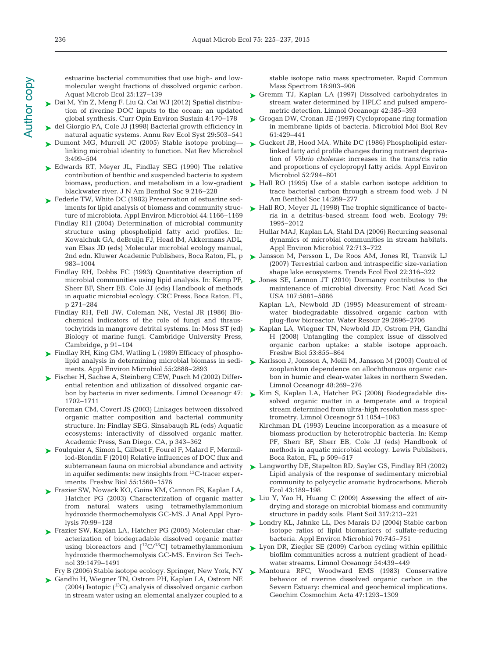estuarine bacterial communities that use high- and lowmolecular weight fractions of dissolved organic carbon. Aquat Microb Ecol 25: 127−139

- [Dai M, Yin Z, Meng F, Liu Q, Cai WJ \(2012\) Spatial distribu-](http://dx.doi.org/10.1016/j.cosust.2012.03.003)➤ tion of riverine DOC inputs to the ocean: an updated global synthesis. Curr Opin Environ Sustain 4: 170−178
- [del Giorgio PA, Cole JJ \(1998\) Bacterial growth efficiency in](http://dx.doi.org/10.1146/annurev.ecolsys.29.1.503) ➤ natural aquatic systems. Annu Rev Ecol Syst 29:503–541
- ▶ [Dumont MG, Murrell JC \(2005\) Stable isotope probing](http://dx.doi.org/10.1038/nrmicro1162) linking microbial identity to function. Nat Rev Microbiol 3: 499−504
- ▶ [Edwards RT, Meyer JL, Findlay SEG \(1990\) The relative](http://dx.doi.org/10.2307/1467585) contribution of benthic and suspended bacteria to system biomass, production, and metabolism in a low-gradient blackwater river. J N Am Benthol Soc 9:216-228
- ► [Federle TW, White DC \(1982\) Preservation of estuarine sed](http://www.ncbi.nlm.nih.gov/entrez/query.fcgi?cmd=Retrieve&db=PubMed&list_uids=16346134&dopt=Abstract)iments for lipid analysis of biomass and community structure of microbiota. Appl Environ Microbiol 44: 1166−1169
	- Findlay RH (2004) Determination of microbial community structure using phospholipid fatty acid profiles. In: Kowalchuk GA, deBruijn FJ, Head IM, Akkermans ADL, van Elsas JD (eds) Molecular microbial ecology manual, 2nd edn. Kluwer Academic Publishers, Boca Raton, FL, p 983−1004
	- Findlay RH, Dobbs FC (1993) Quantitative description of microbial communities using lipid analysis. In: Kemp PF, Sherr BF, Sherr EB, Cole JJ (eds) Handbook of methods in aquatic microbial ecology. CRC Press, Boca Raton, FL, p 271−284
	- Findlay RH, Fell JW, Coleman NK, Vestal JR (1986) Biochemical indicators of the role of fungi and thraustochytrids in mangrove detrital systems. In: Moss ST (ed) Biology of marine fungi. Cambridge University Press, Cambridge, p 91−104
- [Findlay RH, King GM, Watling L \(1989\) Efficacy of phospho-](http://www.ncbi.nlm.nih.gov/entrez/query.fcgi?cmd=Retrieve&db=PubMed&list_uids=16348051&dopt=Abstract)➤ lipid analysis in determining microbial biomass in sediments. Appl Environ Microbiol 55: 2888−2893
- ► [Fischer H, Sachse A, Steinberg CEW, Pusch M \(2002\) Differ](http://dx.doi.org/10.4319/lo.2002.47.6.1702)ential retention and utilization of dissolved organic carbon by bacteria in river sediments. Limnol Oceanogr 47: 1702−1711
	- Foreman CM, Covert JS (2003) Linkages between dissolved organic matter composition and bacterial community structure. In: Findlay SEG, Sinsabaugh RL (eds) Aquatic ecosystems: interactivity of dissolved organic matter. Academic Press, San Diego, CA, p 343−362
- [Foulquier A, Simon L, Gilbert F, Fourel F, Malard F, Mermil-](http://dx.doi.org/10.1111/j.1365-2427.2010.02385.x)➤ lod-Blondin F (2010) Relative influences of DOC flux and subterranean fauna on microbial abundance and activity in aquifer sediments: new insights from 13C-tracer experiments. Freshw Biol 55: 1560−1576
- ► [Frazier SW, Nowack KO, Goins KM, Cannon FS, Kaplan LA,](http://dx.doi.org/10.1016/S0165-2370(02)00098-0) Hatcher PG (2003) Characterization of organic matter from natural waters using tetramethylammonium hydroxide thermochemolysis GC-MS. J Anal Appl Pyrolysis 70:99-128
- ► [Frazier SW, Kaplan LA, Hatcher PG \(2005\) Molecular char](http://dx.doi.org/10.1021/es0494959)acterization of biodegradable dissolved organic matter using bioreactors and  $[^{12}C/^{13}C]$  tetramethylammonium hydroxide thermochemolysis GC-MS. Environ Sci Technol 39: 1479−1491

Fry B (2006) Stable isotope ecology. Springer, New York, NY

► [Gandhi H, Wiegner TN, Ostrom PH, Kaplan LA, Ostrom NE](http://dx.doi.org/10.1002/rcm.1426) (2004) Isotopic  $(^{13}C)$  analysis of dissolved organic carbon in stream water using an elemental analyzer coupled to a stable isotope ratio mass spectrometer. Rapid Commun Mass Spectrom 18:903-906

- ► [Gremm TJ, Kaplan LA \(1997\) Dissolved carbohydrates in](http://dx.doi.org/10.4319/lo.1997.42.2.0385) stream water determined by HPLC and pulsed amperometric detection. Limnol Oceanogr 42: 385−393
- ► [Grogan DW, Cronan JE \(1997\) Cyclopropane ring formation](http://www.ncbi.nlm.nih.gov/entrez/query.fcgi?cmd=Retrieve&db=PubMed&list_uids=9409147&dopt=Abstract) in membrane lipids of bacteria. Microbiol Mol Biol Rev 61: 429−441
- ► [Guckert JB, Hood MA, White DC \(1986\) Phospholipid ester](http://www.ncbi.nlm.nih.gov/entrez/query.fcgi?cmd=Retrieve&db=PubMed&list_uids=3777927&dopt=Abstract)linked fatty acid profile changes during nutrient deprivation of *Vibrio cholerae*: increases in the trans/cis ratio and proportions of cyclopropyl fatty acids. Appl Environ Microbiol 52:794-801
- ► [Hall RO \(1995\) Use of a stable carbon isotope addition to](http://dx.doi.org/10.2307/1467779) trace bacterial carbon through a stream food web. J N Am Benthol Soc 14: 269−277
- ► [Hall RO, Meyer JL \(1998\) The trophic significance of bacte](http://dx.doi.org/10.1128/AEM.72.1.713-722.2006)ria in a detritus-based stream food web. Ecology 79: 1995−2012
	- Hullar MAJ, Kaplan LA, Stahl DA (2006) Recurring seasonal dynamics of microbial communities in stream habitats. Appl Environ Microbiol 72: 713−722
- [Jansson M, Persson L, De Roos AM, Jones RI, Tranvik LJ](http://dx.doi.org/10.1016/j.tree.2007.02.015) ➤ (2007) Terrestrial carbon and intraspecific size-variation shape lake ecosystems. Trends Ecol Evol 22:316-322
- ► [Jones SE, Lennon JT \(2010\) Dormancy contributes to the](http://dx.doi.org/10.1073/pnas.0912765107) maintenance of microbial diversity. Proc Natl Acad Sci USA 107:5881-5886
	- Kaplan LA, Newbold JD (1995) Measurement of stream water biodegradable dissolved organic carbon with plug-flow bioreactor. Water Resour 29: 2696−2706
- ► [Kaplan LA, Wiegner TN, Newbold JD, Ostrom PH, Gandhi](http://dx.doi.org/10.1111/j.1365-2427.2007.01941.x) H (2008) Untangling the complex issue of dissolved organic carbon uptake: a stable isotope approach. Freshw Biol 53: 855−864
- ► [Karlsson J, Jonsson A, Meili M, Jansson M \(2003\) Control of](http://dx.doi.org/10.4319/lo.2003.48.1.0269) zooplankton dependence on allochthonous organic carbon in humic and clear-water lakes in northern Sweden. Limnol Oceanogr 48:269-276
- ► [Kim S, Kaplan LA, Hatcher PG \(2006\) Biodegradable dis](http://dx.doi.org/10.4319/lo.2006.51.2.1054)solved organic matter in a temperate and a tropical stream determined from ultra-high resolution mass spectrometry. Limnol Oceanogr 51: 1054−1063
	- Kirchman DL (1993) Leucine incorporation as a measure of biomass production by heterotrophic bacteria. In: Kemp PF, Sherr BF, Sherr EB, Cole JJ (eds) Handbook of methods in aquatic microbial ecology. Lewis Publishers, Boca Raton, FL, p 509−517
- ► [Langworthy DE, Stapelton RD, Sayler GS, Findlay RH \(2002\)](http://dx.doi.org/10.1007/s00248-001-1040-6) Lipid analysis of the response of sedimentary microbial community to polycyclic aromatic hydrocarbons. Microb Ecol 43: 189−198
- ► [Liu Y, Yao H, Huang C \(2009\) Assessing the effect of air](http://dx.doi.org/10.1007/s11104-008-9803-1)drying and storage on microbial biomass and community structure in paddy soils. Plant Soil 317: 213−221
- [Londry KL, Jahnke LL, Des Marais DJ \(2004\) Stable carbon](http://dx.doi.org/10.1128/AEM.70.2.745-751.2004) ➤ isotope ratios of lipid biomarkers of sulfate-reducing bacteria. Appl Environ Microbiol 70: 745−751
- ► [Lyon DR, Ziegler SE \(2009\) Carbon cycling within epilithic](http://dx.doi.org/10.4319/lo.2009.54.2.0439) biofilm communities across a nutrient gradient of headwater streams. Limnol Oceanogr 54:439-449
- ▶ [Mantoura RFC, Woodward EMS \(1983\) Conservative](http://dx.doi.org/10.1016/0016-7037(83)90069-8) behavior of riverine dissolved organic carbon in the Severn Estuary: chemical and geochemical implications. Geochim Cosmochim Acta 47: 1293−1309